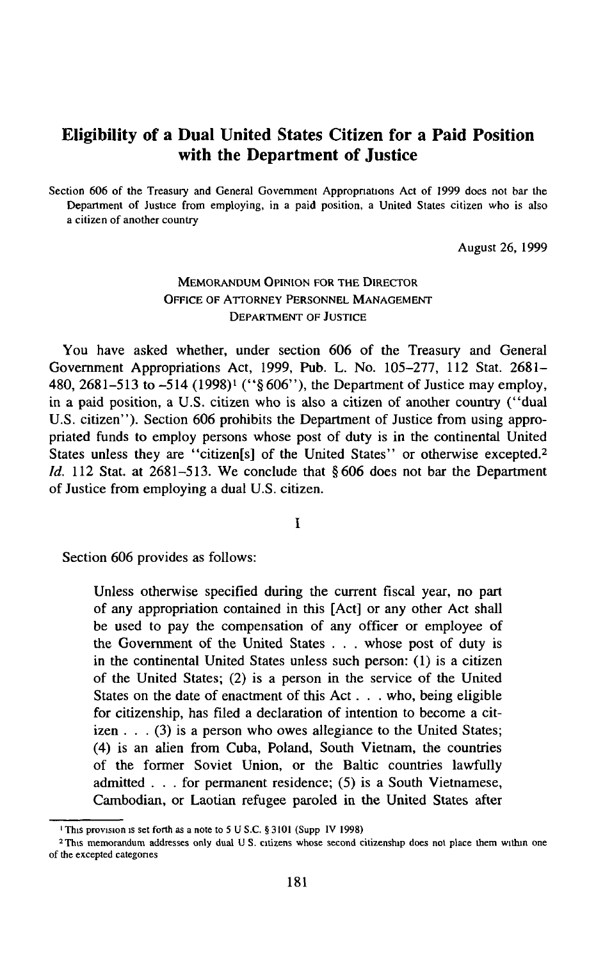# **Eligibility of a Dual United States Citizen for a Paid Position with the Department of Justice**

Section 606 of the Treasury and General Government Appropriations Act of 1999 does not bar the Department of Justice from employing, in a paid position, a United States citizen who is also a citizen of another country

August 26, 1999

## MEMORANDUM OPINION FOR THE DIRECTOR OFFICE OF ATTORNEY PERSONNEL MANAGEMENT DEPARTMENT OF JUSTICE

You have asked whether, under section 606 of the Treasury and General Government Appropriations Act, 1999, Pub. L. No. 105-277, 112 Stat. 2681- 480, 2681-513 to -514 (1998)<sup>1</sup> ("§606"), the Department of Justice may employ, in a paid position, a U.S. citizen who is also a citizen of another country (" dual U.S. citizen"). Section 606 prohibits the Department of Justice from using appropriated funds to employ persons whose post of duty is in the continental United States unless they are "citizen[s] of the United States" or otherwise excepted.<sup>2</sup> *Id.* 112 Stat. at 2681-513. We conclude that §606 does not bar the Department of Justice from employing a dual U.S. citizen.

I

Section 606 provides as follows:

Unless otherwise specified during the current fiscal year, no part of any appropriation contained in this [Act] or any other Act shall be used to pay the compensation of any officer or employee of the Government of the United States . . . whose post of duty is in the continental United States unless such person: (1) is a citizen of the United States; (2) is a person in the service of the United States on the date of enactment of this Act . . . who, being eligible for citizenship, has filed a declaration of intention to become a citizen . . . (3) is a person who owes allegiance to the United States; (4) is an alien from Cuba, Poland, South Vietnam, the countries of the former Soviet Union, or the Baltic countries lawfully admitted . . . for permanent residence; (5) is a South Vietnamese, Cambodian, or Laotian refugee paroled in the United States after

<sup>&#</sup>x27;This provision is set forth as a note to 5 U S.C. §3101 (Supp IV 1998)

<sup>2</sup> This memorandum addresses only dual U S. citizens whose second citizenship does not place them within one of the excepted categories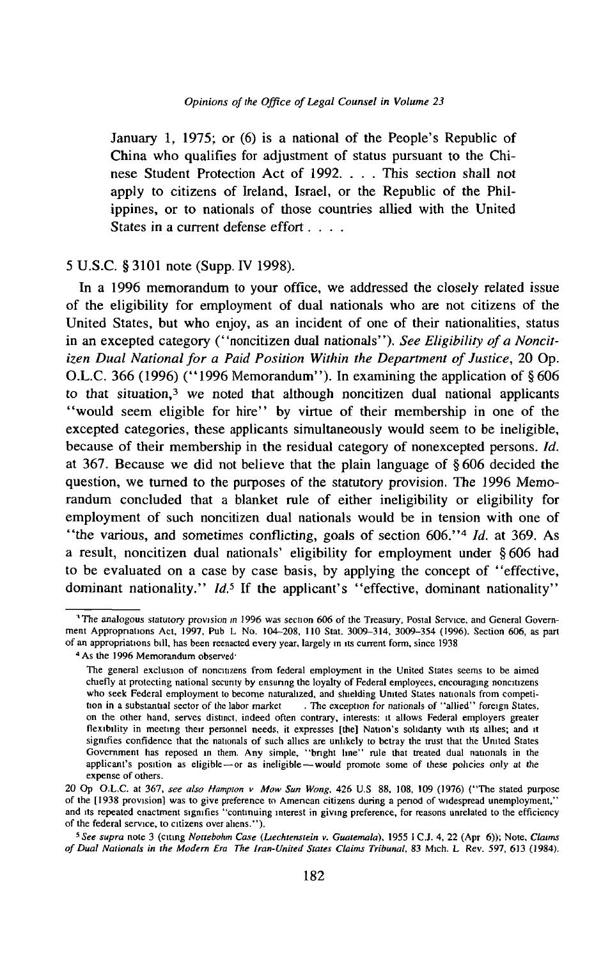January 1, 1975; or (6) is a national of the People's Republic of China who qualifies for adjustment of status pursuant to the Chinese Student Protection Act of 1992. . . . This section shall not apply to citizens of Ireland, Israel, or the Republic of the Philippines, or to nationals of those countries allied with the United States in a current defense effort . . . .

### 5 U.S.C. § 3101 note (Supp. IV 1998).

In a 1996 memorandum to your office, we addressed the closely related issue of the eligibility for employment of dual nationals who are not citizens of the United States, but who enjoy, as an incident of one of their nationalities, status in an excepted category ("noncitizen dual nationals"). See Eligibility of a Noncit*izen Dual National for a Paid Position Within the Department of Justice*, 20 Op. O.L.C. 366 (1996) ("1996 Memorandum"). In examining the application of  $\S 606$ to that situation, $3$  we noted that although noncitizen dual national applicants " would seem eligible for hire" by virtue of their membership in one of the excepted categories, these applicants simultaneously would seem to be ineligible, because of their membership in the residual category of nonexcepted persons. *Id.* at 367. Because we did not believe that the plain language of § 606 decided the question, we turned to the purposes of the statutory provision. The 1996 Memorandum concluded that a blanket rule of either ineligibility or eligibility for employment of such noncitizen dual nationals would be in tension with one of " the various, and sometimes conflicting, goals of section 606." 4 *Id.* at 369. As a result, noncitizen dual nationals' eligibility for employment under §606 had to be evaluated on a case by case basis, by applying the concept of " effective, dominant nationality." *Id.*<sup>5</sup> If the applicant's "effective, dominant nationality"

<sup>&</sup>lt;sup>1</sup>The analogous statutory provision in 1996 was section 606 of the Treasury, Postal Service, and General Government Appropriations Act, 1997, Pub L No. 104-208, 110 Stat. 3009-314, 3009-354 (1996). Section 606, as part of an appropriations bill, has been reenacted every year, largely in its current form, since 1938

<sup>&</sup>lt;sup>4</sup> As the 1996 Memorandum observed<sup>.</sup>

The general exclusion of noncitizens from federal employment in the United States seems to be aimed chiefly at protecting national security by ensunng the loyalty of Federal employees, encouraging noncitizens who seek Federal employment to become naturalized, and shielding United States nationals from competition in a substantial sector of the labor market . The exception for nationals of "allied" foreign States, on the other hand, serves distinct, indeed often contrary, interests: it allows Federal employers greater flexibility in meeting their personnel needs, it expresses [the] Nation's solidarity with its allies; and it signifies confidence that the nationals of such allies are unlikely to betray the trust that the United States Government has reposed in them. Any simple, " bright line" rule that treated dual nationals in the applicant's position as eligible—or as ineligible—would promote some of these policies only at the expense of others.

<sup>20</sup> Op O.L.C. at 367, see also Hampton v Mow Sun Wong, 426 U.S 88, 108, 109 (1976) ("The stated purpose of the [1938 provision] was to give preference to American citizens during a penod of widespread unemployment," and its repeated enactment signifies "continuing interest in giving preference, for reasons unrelated to the efficiency of the federal service, to citizens over aliens." ).

*<sup>5</sup> See supra* note 3 (citing *Nottebohm Case (Liechtenstein v. Guatemala),* 1955 I C.J. 4, 22 (Apr 6)); Note, *Claims* of Dual Nationals in the Modern Era The Iran-United States Claims Tribunal, 83 Mich. L Rev. 597, 613 (1984).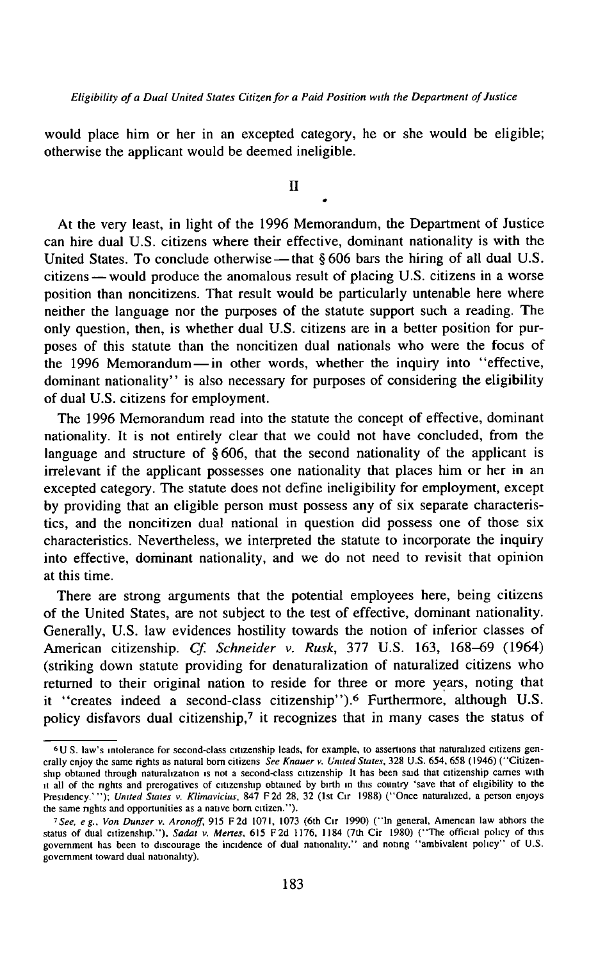would place him or her in an excepted category, he or she would be eligible; otherwise the applicant would be deemed ineligible.

II

*0*

At the very least, in light of the 1996 Memorandum, the Department of Justice can hire dual U.S. citizens where their effective, dominant nationality is with the United States. To conclude otherwise — that  $\S 606$  bars the hiring of all dual U.S. citizens — would produce the anomalous result of placing U.S. citizens in a worse position than noncitizens. That result would be particularly untenable here where neither the language nor the purposes of the statute support such a reading. The only question, then, is whether dual U.S. citizens are in a better position for purposes of this statute than the noncitizen dual nationals who were the focus of the 1996 Memorandum — in other words, whether the inquiry into " effective, dominant nationality" is also necessary for purposes of considering the eligibility of dual U.S. citizens for employment.

The 1996 Memorandum read into the statute the concept of effective, dominant nationality. It is not entirely clear that we could not have concluded, from the language and structure of  $\S 606$ , that the second nationality of the applicant is irrelevant if the applicant possesses one nationality that places him or her in an excepted category. The statute does not define ineligibility for employment, except by providing that an eligible person must possess any of six separate characteristics, and the noncitizen dual national in question did possess one of those six characteristics. Nevertheless, we interpreted the statute to incorporate the inquiry into effective, dominant nationality, and we do not need to revisit that opinion at this time.

There are strong arguments that the potential employees here, being citizens of the United States, are not subject to the test of effective, dominant nationality. Generally, U.S. law evidences hostility towards the notion of inferior classes of American citizenship. *Cf. Schneider v. Rusk,* 377 U.S. 163, 168—69 (1964) (striking down statute providing for denaturalization of naturalized citizens who returned to their original nation to reside for three or more years, noting that it "creates indeed a second-class citizenship").<sup>6</sup> Furthermore, although U.S. policy disfavors dual citizenship,7 it recognizes that in many cases the status of

<sup>6</sup> U S. law's intolerance for second-class citizenship leads, for example, to assertions that naturalized citizens generally enjoy the same rights as natural bom citizens *See Knauer v. United States,* 328 U.S. 654, 658 (1946) (" Citizenship obtained through naturalization is not a second-class citizenship It has been said that citizenship carries with it all of the nghts and prerogatives of citizenship obtained by birth in this country 'save that of eligibility to the Presidency.' " ); *United States* v. *Klimavicius,* 847 F2d 28, 32 (1st Cir 1988) (" Once naturalized, a person enjoys the same nghts and opportunities as a nauve bom citizen." ).

*<sup>1</sup> See, e g .. Von Dunser* v. *Aronoff,* 915 F 2 d 1071, 1073 (6th Cir 1990) (" In general, Amencan law abhors the status of dual citizenship." ), *Sadat v. Mertes,* 615 F 2d 1176, 1184 (7th Cir 1980) (" The official policy of this government has been to discourage the incidence of dual nationality." and noting "ambivalent policy" of U.S. government toward dual nauonality).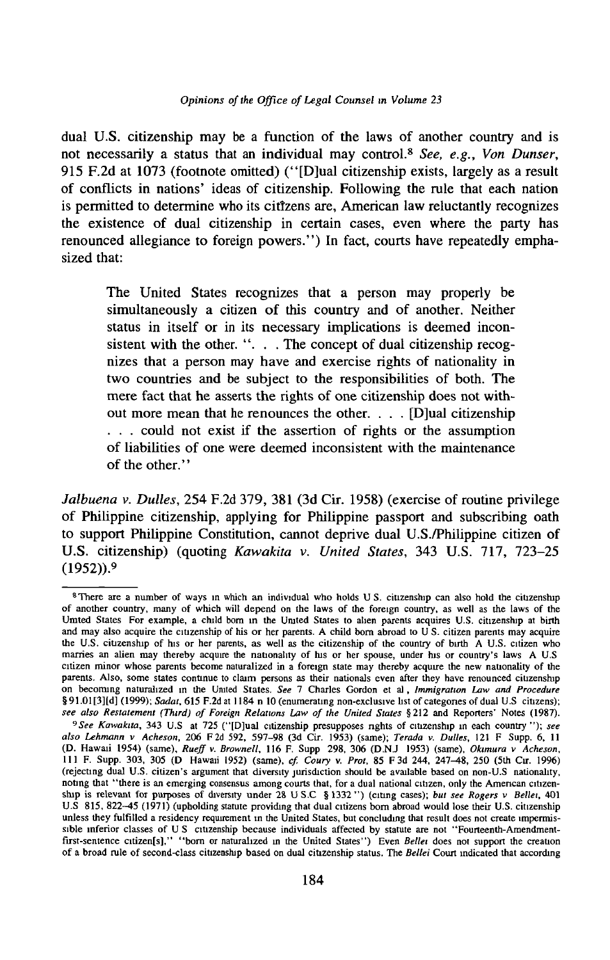#### *Opinions of the Office of Legal Counsel in Volume 23*

dual U.S. citizenship may be a function of the laws of another country and is not necessarily a status that an individual may control.8 *See, e.g., Von Dunser,* 915 F.2d at 1073 (footnote omitted) (" [D]ual citizenship exists, largely as a result of conflicts in nations' ideas of citizenship. Following the rule that each nation is permitted to determine who its citizens are, American law reluctantly recognizes the existence of dual citizenship in certain cases, even where the party has renounced allegiance to foreign powers." ) In fact, courts have repeatedly emphasized that:

The United States recognizes that a person may properly be simultaneously a citizen of this country and of another. Neither status in itself or in its necessary implications is deemed inconsistent with the other. " $\ldots$ . The concept of dual citizenship recognizes that a person may have and exercise rights of nationality in two countries and be subject to the responsibilities of both. The mere fact that he asserts the rights of one citizenship does not without more mean that he renounces the other. . . . [D]ual citizenship . . . could not exist if the assertion of rights or the assumption of liabilities of one were deemed inconsistent with the maintenance of the other."

*Jalbuena v. Dulles,* 254 F.2d 379, 381 (3d Cir. 1958) (exercise of routine privilege of Philippine citizenship, applying for Philippine passport and subscribing oath to support Philippine Constitution, cannot deprive dual U.S./Philippine citizen of U.S. citizenship) (quoting *Kawakita* v. *United States,* 343 U.S. 717, 723-25 (1952)).9

<sup>&</sup>lt;sup>8</sup>There are a number of ways in which an individual who holds U S. citizenship can also hold the citizenship of another country, many of which will depend on the laws of the foreign country, as well as the laws of the Umted States For example, a child bom in the United States to alien parents acquires U.S. citizenship at birth and may also acquire the citizenship of his or her parents. A child born abroad to U S. citizen parents may acquire the U.S. citizenship of his or her parents, as well as the citizenship of the country of birth A U.S. citizen who marries an alien may thereby acquire the nationality of his or her spouse, under his or country's laws A U.S citizen minor whose parents become naturalized in a foreign state may thereby acquire the new nationality of the parents. Also, some states continue to claim persons as their nationals even after they have renounced ciuzenship on becoming naturalized in the United States. See 7 Charles Gordon et al, *Immigration Law and Procedure* § 91.01 [3][d] (1999); *Sadat,* 615 F.2d at 1184 n 10 (enumerating non-exclusive list of categones of dual U.S citizens); see also Restatement (Third) of Foreign Relations Law of the United States §212 and Reporters' Notes (1987).

*<sup>9</sup> See Kawakita*, 343 U.S at 725 (" [D]ual citizenship presupposes nghts of citizenship in each country " ); *see* als*o Lehmann v Acheson*, 206 F2d 592, 597–98 (3d Cir. 1953) (same); *Terada v. Dulles*, 121 F Supp. 6, 11<br>(D. Hawaii 1954) (same), *Rueff v. Brownell*, 116 F. Supp 298, 306 (D.N.J 1953) (same), *Okumura v Acheson*, 111 F. Supp. 303, 305 (D Hawaii 1952) (same), *cf. Coury v. Prot*, 85 F 3d 244, 247-48, 250 (5th Cir. 1996) (rejecting dual U.S. citizen's argument that diversity jurisdiction should be available based on non-U.S nationality, noting that "there is an emerging consensus among courts that, for a dual national citizen, only the American citizenship is relevant for purposes of diversity under 28 U S.C § 1332 ") (citing cases); *but see Rogers v Bellei*, 401 U.S 815, 822-45 (1971) (upholding statute providing that dual citizens bom abroad would lose their U.S. citizenship unless they fulfilled a residency requirement m the United States, but concluding that result does not create impermissible inferior classes of U S citizenship because individuals affected by statute are not " Fourteenth-Amendmentfirst-sentence citizen[s]," "born or naturalized in the United States") Even *Bellei* does not support the creation of a broad rule of second-class citizenship based on dual citizenship status. The *Bellei* Court indicated that according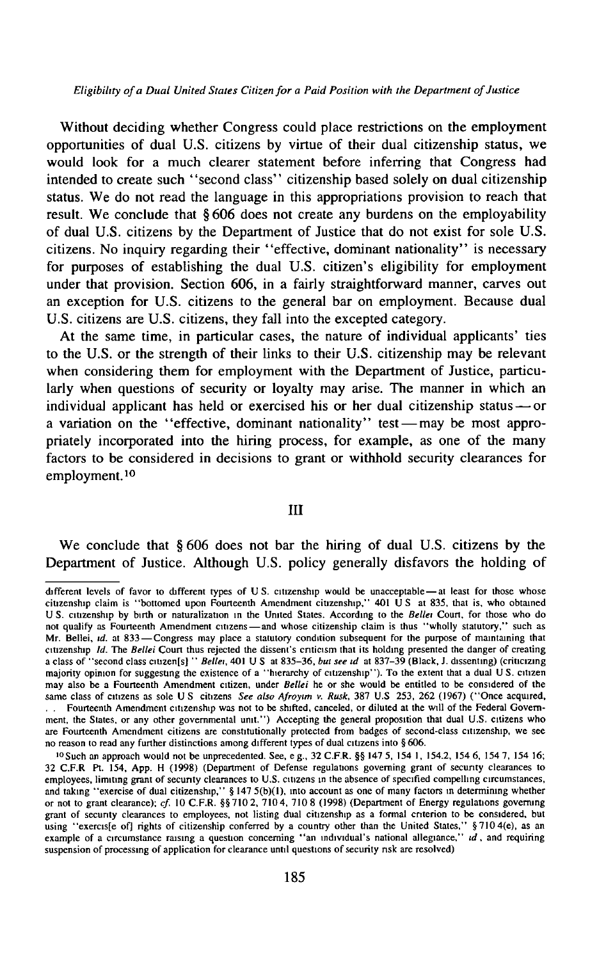*Eligibility of a Dual United States Citizen for a Paid Position with the Department of Justice* 

Without deciding whether Congress could place restrictions on the employment opportunities of dual U.S. citizens by virtue of their dual citizenship status, we would look for a much clearer statement before inferring that Congress had intended to create such "second class" citizenship based solely on dual citizenship status. We do not read the language in this appropriations provision to reach that result. We conclude that §606 does not create any burdens on the employability of dual U.S. citizens by the Department of Justice that do not exist for sole U.S. citizens. No inquiry regarding their " effective, dominant nationality" is necessary for purposes of establishing the dual U.S. citizen's eligibility for employment under that provision. Section 606, in a fairly straightforward manner, carves out an exception for U.S. citizens to the general bar on employment. Because dual U.S. citizens are U.S. citizens, they fall into the excepted category.

At the same time, in particular cases, the nature of individual applicants' ties to the U.S. or the strength of their links to their U.S. citizenship may be relevant when considering them for employment with the Department of Justice, particularly when questions of security or loyalty may arise. The manner in which an individual applicant has held or exercised his or her dual citizenship status — or a variation on the " effective, dominant nationality" test — may be most appropriately incorporated into the hiring process, for example, as one of the many factors to be considered in decisions to grant or withhold security clearances for employment.10

#### III

We conclude that § 606 does not bar the hiring of dual U.S. citizens by the Department of Justice. Although U.S. policy generally disfavors the holding of

different levels of favor to different types of U S. citizenship would be unacceptable — at least for those whose citizenship claim is " bottomed upon Fourteenth Amendment citizenship," 401 U S at 835, that is, who obtained U S. citizenship by birth or naturalization in the United States. According to the *Bellei* Court, for those who do not qualify as Fourteenth Amendment citizens— and whose citizenship claim is thus " wholly statutory," such as Mr. Bellei, *id.* at 833— Congress may place a statutory condition subsequent for the purpose of maintaining that citizenship *Id.* The *Bellei* Court thus rejected the dissent's criticism that its holding presented the danger of creating a class of " second class ciuzen[s] " *Bellei,* 401 U S at 835-36, *but see id* at 837-39 (Black, J. dissenting) (criticizing majority opinion for suggesting the existence of a "hierarchy of citizenship"). To the extent that a dual US. citizen may also be a Fourteenth Amendment citizen, under *Bellei* he or she would be entitled to be considered of the same class of citizens as sole U S citizens See also Afroyim v. Rusk, 387 U.S 253, 262 (1967) ("Once acquired,

<sup>. .</sup> Fourteenth Amendment citizenship was not to be shifted, canceled, or diluted at the will of the Federal Government, the States, or any other governmental unit.") Accepting the general proposition that dual U.S. citizens who are Fourteenth Amendment citizens are constitutionally protected from badges of second-class citizenship, we see no reason to read any further distinctions among different types of dual citizens into § 606.

<sup>10</sup>Such an approach would not be unprecedented. See, e g., 32 C.F.R. §§ 147 5, 154 1, 154.2, 154 6, 154 7, 154 16; 32 C.F.R Pt. 154, App. H (1998) (Department of Defense regulations governing grant of security clearances to employees, limiting grant of security clearances to U.S. citizens in the absence of specified compelling circumstances, and taking "exercise of dual citizenship," § 147 5(b)(1), into account as one of many factors in determining whether or not to grant clearance); *cf.* 10 C.F.R. §§ 710 2, 710 4, 710 8 (1998) (Department of Energy regulations governing grant of secunty clearances to employees, not listing dual citizenship as a formal criterion to be considered, but using " exercis [e of] rights of citizenship conferred by a country other than the United States," §7104(e), as an example of a circumstance raising a question concerning " an individual's national allegiance," *id*, and requiring<br>suspension of processing of application for clearance until questions of security risk are resolved)